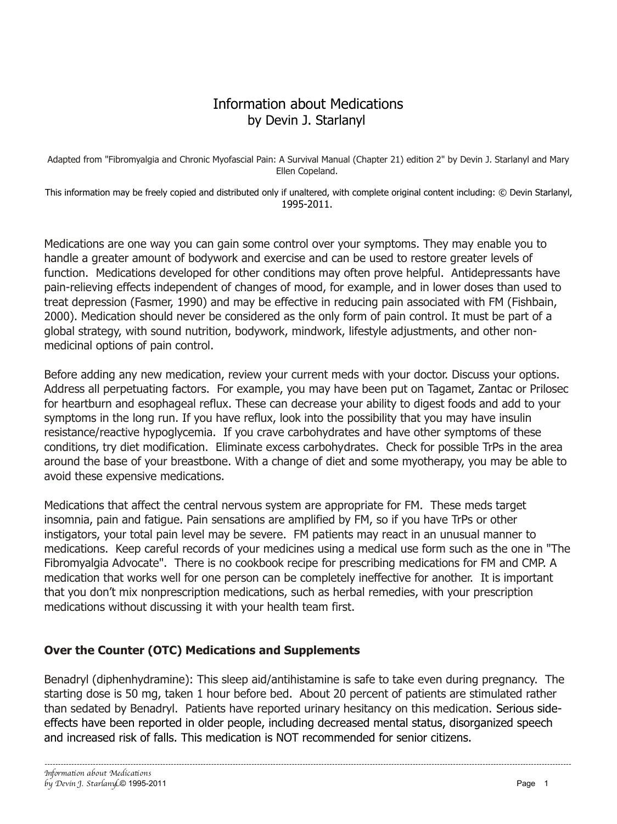# Information about Medications by Devin J. Starlanyl

Adapted from "Fibromyalgia and Chronic Myofascial Pain: A Survival Manual (Chapter 21) edition 2" by Devin J. Starlanyl and Mary Ellen Copeland.

This information may be freely copied and distributed only if unaltered, with complete original content including: © Devin Starlanyl, 1995-2011.

Medications are one way you can gain some control over your symptoms. They may enable you to handle a greater amount of bodywork and exercise and can be used to restore greater levels of function. Medications developed for other conditions may often prove helpful. Antidepressants have pain-relieving effects independent of changes of mood, for example, and in lower doses than used to treat depression (Fasmer, 1990) and may be effective in reducing pain associated with FM (Fishbain, 2000). Medication should never be considered as the only form of pain control. It must be part of a global strategy, with sound nutrition, bodywork, mindwork, lifestyle adjustments, and other nonmedicinal options of pain control.

Before adding any new medication, review your current meds with your doctor. Discuss your options. Address all perpetuating factors. For example, you may have been put on Tagamet, Zantac or Prilosec for heartburn and esophageal reflux. These can decrease your ability to digest foods and add to your symptoms in the long run. If you have reflux, look into the possibility that you may have insulin resistance/reactive hypoglycemia. If you crave carbohydrates and have other symptoms of these conditions, try diet modification. Eliminate excess carbohydrates. Check for possible TrPs in the area around the base of your breastbone. With a change of diet and some myotherapy, you may be able to avoid these expensive medications.

Medications that affect the central nervous system are appropriate for FM. These meds target insomnia, pain and fatigue. Pain sensations are amplified by FM, so if you have TrPs or other instigators, your total pain level may be severe. FM patients may react in an unusual manner to medications. Keep careful records of your medicines using a medical use form such as the one in "The Fibromyalgia Advocate". There is no cookbook recipe for prescribing medications for FM and CMP. A medication that works well for one person can be completely ineffective for another. It is important that you don't mix nonprescription medications, such as herbal remedies, with your prescription medications without discussing it with your health team first.

### **Over the Counter (OTC) Medications and Supplements**

Benadryl (diphenhydramine): This sleep aid/antihistamine is safe to take even during pregnancy. The starting dose is 50 mg, taken 1 hour before bed. About 20 percent of patients are stimulated rather than sedated by Benadryl. Patients have reported urinary hesitancy on this medication. Serious sideeffects have been reported in older people, including decreased mental status, disorganized speech and increased risk of falls. This medication is NOT recommended for senior citizens.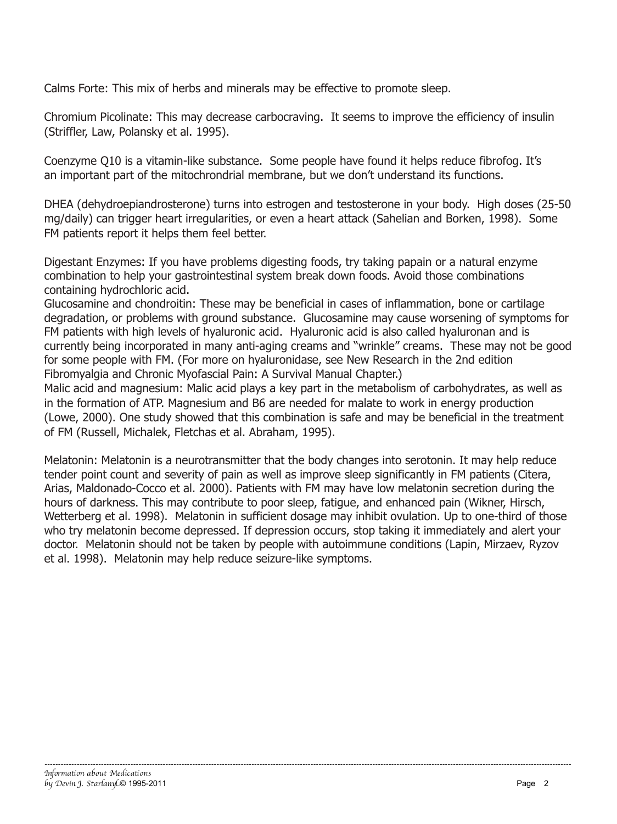Calms Forte: This mix of herbs and minerals may be effective to promote sleep.

Chromium Picolinate: This may decrease carbocraving. It seems to improve the efficiency of insulin (Striffler, Law, Polansky et al. 1995).

Coenzyme Q10 is a vitamin-like substance. Some people have found it helps reduce fibrofog. It's an important part of the mitochrondrial membrane, but we don't understand its functions.

DHEA (dehydroepiandrosterone) turns into estrogen and testosterone in your body. High doses (25-50 mg/daily) can trigger heart irregularities, or even a heart attack (Sahelian and Borken, 1998). Some FM patients report it helps them feel better.

Digestant Enzymes: If you have problems digesting foods, try taking papain or a natural enzyme combination to help your gastrointestinal system break down foods. Avoid those combinations containing hydrochloric acid.

Glucosamine and chondroitin: These may be beneficial in cases of inflammation, bone or cartilage degradation, or problems with ground substance. Glucosamine may cause worsening of symptoms for FM patients with high levels of hyaluronic acid. Hyaluronic acid is also called hyaluronan and is currently being incorporated in many anti-aging creams and "wrinkle" creams. These may not be good for some people with FM. (For more on hyaluronidase, see New Research in the 2nd edition Fibromyalgia and Chronic Myofascial Pain: A Survival Manual Chapter.)

Malic acid and magnesium: Malic acid plays a key part in the metabolism of carbohydrates, as well as in the formation of ATP. Magnesium and B6 are needed for malate to work in energy production (Lowe, 2000). One study showed that this combination is safe and may be beneficial in the treatment of FM (Russell, Michalek, Fletchas et al. Abraham, 1995).

Melatonin: Melatonin is a neurotransmitter that the body changes into serotonin. It may help reduce tender point count and severity of pain as well as improve sleep significantly in FM patients (Citera, Arias, Maldonado-Cocco et al. 2000). Patients with FM may have low melatonin secretion during the hours of darkness. This may contribute to poor sleep, fatigue, and enhanced pain (Wikner, Hirsch, Wetterberg et al. 1998). Melatonin in sufficient dosage may inhibit ovulation. Up to one-third of those who try melatonin become depressed. If depression occurs, stop taking it immediately and alert your doctor. Melatonin should not be taken by people with autoimmune conditions (Lapin, Mirzaev, Ryzov et al. 1998). Melatonin may help reduce seizure-like symptoms.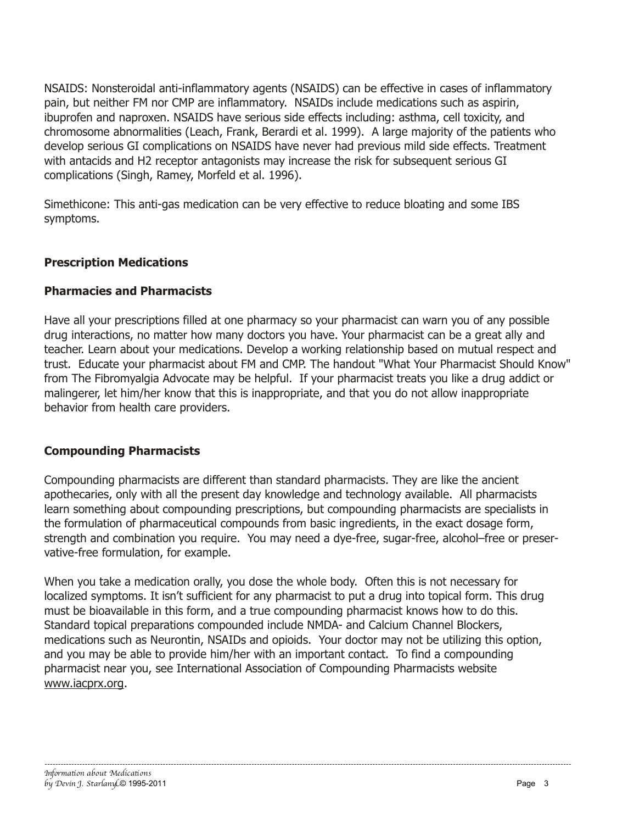NSAIDS: Nonsteroidal anti-inflammatory agents (NSAIDS) can be effective in cases of inflammatory pain, but neither FM nor CMP are inflammatory. NSAIDs include medications such as aspirin, ibuprofen and naproxen. NSAIDS have serious side effects including: asthma, cell toxicity, and chromosome abnormalities (Leach, Frank, Berardi et al. 1999). A large majority of the patients who develop serious GI complications on NSAIDS have never had previous mild side effects. Treatment with antacids and H2 receptor antagonists may increase the risk for subsequent serious GI complications (Singh, Ramey, Morfeld et al. 1996).

Simethicone: This anti-gas medication can be very effective to reduce bloating and some IBS symptoms.

### **Prescription Medications**

#### **Pharmacies and Pharmacists**

Have all your prescriptions filled at one pharmacy so your pharmacist can warn you of any possible drug interactions, no matter how many doctors you have. Your pharmacist can be a great ally and teacher. Learn about your medications. Develop a working relationship based on mutual respect and trust. Educate your pharmacist about FM and CMP. The handout "What Your Pharmacist Should Know" from The Fibromyalgia Advocate may be helpful. If your pharmacist treats you like a drug addict or malingerer, let him/her know that this is inappropriate, and that you do not allow inappropriate behavior from health care providers.

### **Compounding Pharmacists**

Compounding pharmacists are different than standard pharmacists. They are like the ancient apothecaries, only with all the present day knowledge and technology available. All pharmacists learn something about compounding prescriptions, but compounding pharmacists are specialists in the formulation of pharmaceutical compounds from basic ingredients, in the exact dosage form, strength and combination you require. You may need a dye-free, sugar-free, alcohol–free or preservative-free formulation, for example.

When you take a medication orally, you dose the whole body. Often this is not necessary for localized symptoms. It isn't sufficient for any pharmacist to put a drug into topical form. This drug must be bioavailable in this form, and a true compounding pharmacist knows how to do this. Standard topical preparations compounded include NMDA- and Calcium Channel Blockers, medications such as Neurontin, NSAIDs and opioids. Your doctor may not be utilizing this option, and you may be able to provide him/her with an important contact. To find a compounding pharmacist near you, see International Association of Compounding Pharmacists website www.iacprx.org.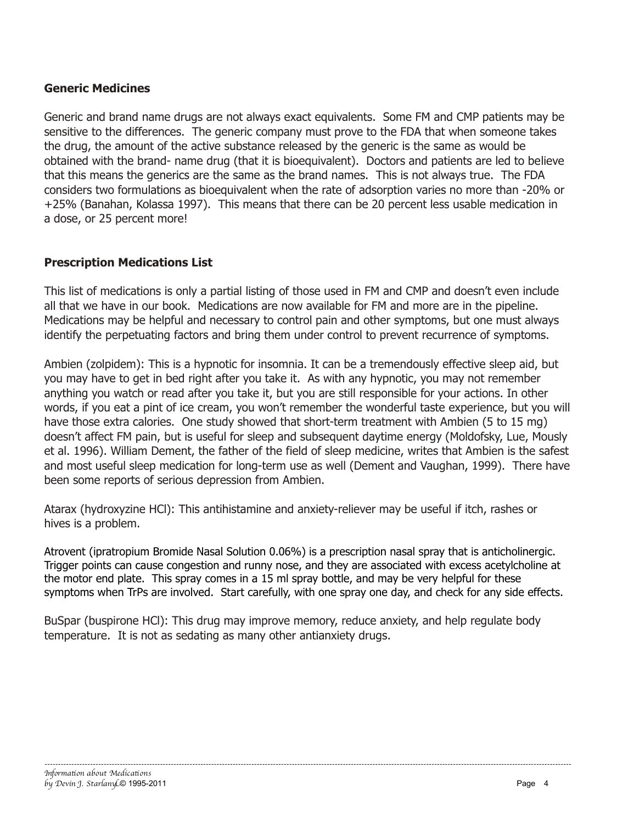### **Generic Medicines**

Generic and brand name drugs are not always exact equivalents. Some FM and CMP patients may be sensitive to the differences. The generic company must prove to the FDA that when someone takes the drug, the amount of the active substance released by the generic is the same as would be obtained with the brand- name drug (that it is bioequivalent). Doctors and patients are led to believe that this means the generics are the same as the brand names. This is not always true. The FDA considers two formulations as bioequivalent when the rate of adsorption varies no more than -20% or +25% (Banahan, Kolassa 1997). This means that there can be 20 percent less usable medication in a dose, or 25 percent more!

### **Prescription Medications List**

This list of medications is only a partial listing of those used in FM and CMP and doesn't even include all that we have in our book. Medications are now available for FM and more are in the pipeline. Medications may be helpful and necessary to control pain and other symptoms, but one must always identify the perpetuating factors and bring them under control to prevent recurrence of symptoms.

Ambien (zolpidem): This is a hypnotic for insomnia. It can be a tremendously effective sleep aid, but you may have to get in bed right after you take it. As with any hypnotic, you may not remember anything you watch or read after you take it, but you are still responsible for your actions. In other words, if you eat a pint of ice cream, you won't remember the wonderful taste experience, but you will have those extra calories. One study showed that short-term treatment with Ambien (5 to 15 mg) doesn't affect FM pain, but is useful for sleep and subsequent daytime energy (Moldofsky, Lue, Mously et al. 1996). William Dement, the father of the field of sleep medicine, writes that Ambien is the safest and most useful sleep medication for long-term use as well (Dement and Vaughan, 1999). There have been some reports of serious depression from Ambien.

Atarax (hydroxyzine HCl): This antihistamine and anxiety-reliever may be useful if itch, rashes or hives is a problem.

Atrovent (ipratropium Bromide Nasal Solution 0.06%) is a prescription nasal spray that is anticholinergic. Trigger points can cause congestion and runny nose, and they are associated with excess acetylcholine at the motor end plate. This spray comes in a 15 ml spray bottle, and may be very helpful for these symptoms when TrPs are involved. Start carefully, with one spray one day, and check for any side effects.

BuSpar (buspirone HCl): This drug may improve memory, reduce anxiety, and help regulate body temperature. It is not as sedating as many other antianxiety drugs.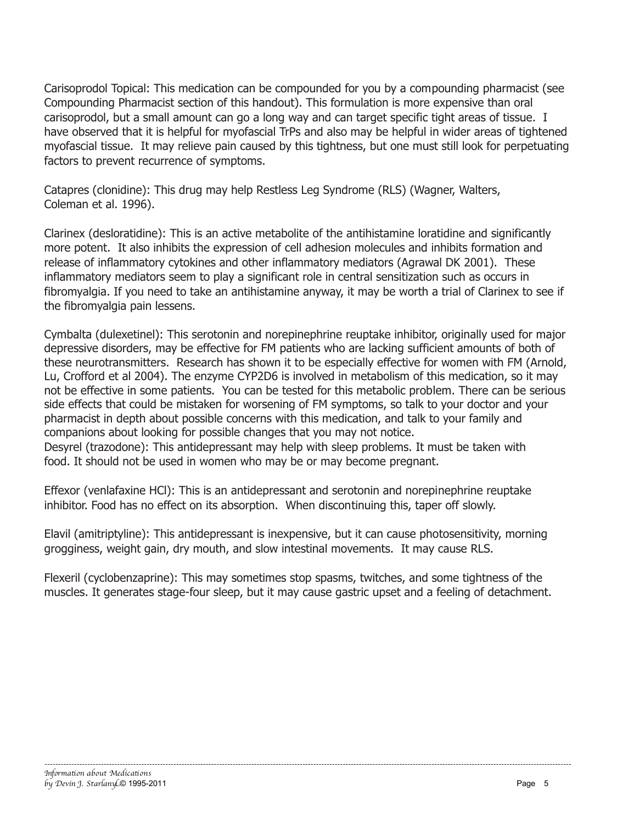Carisoprodol Topical: This medication can be compounded for you by a compounding pharmacist (see Compounding Pharmacist section of this handout). This formulation is more expensive than oral carisoprodol, but a small amount can go a long way and can target specific tight areas of tissue. I have observed that it is helpful for myofascial TrPs and also may be helpful in wider areas of tightened myofascial tissue. It may relieve pain caused by this tightness, but one must still look for perpetuating factors to prevent recurrence of symptoms.

Catapres (clonidine): This drug may help Restless Leg Syndrome (RLS) (Wagner, Walters, Coleman et al. 1996).

Clarinex (desloratidine): This is an active metabolite of the antihistamine loratidine and significantly more potent. It also inhibits the expression of cell adhesion molecules and inhibits formation and release of inflammatory cytokines and other inflammatory mediators (Agrawal DK 2001). These inflammatory mediators seem to play a significant role in central sensitization such as occurs in fibromyalgia. If you need to take an antihistamine anyway, it may be worth a trial of Clarinex to see if the fibromyalgia pain lessens.

Cymbalta (dulexetinel): This serotonin and norepinephrine reuptake inhibitor, originally used for major depressive disorders, may be effective for FM patients who are lacking sufficient amounts of both of these neurotransmitters. Research has shown it to be especially effective for women with FM (Arnold, Lu, Crofford et al 2004). The enzyme CYP2D6 is involved in metabolism of this medication, so it may not be effective in some patients. You can be tested for this metabolic problem. There can be serious side effects that could be mistaken for worsening of FM symptoms, so talk to your doctor and your pharmacist in depth about possible concerns with this medication, and talk to your family and companions about looking for possible changes that you may not notice. Desyrel (trazodone): This antidepressant may help with sleep problems. It must be taken with food. It should not be used in women who may be or may become pregnant.

Effexor (venlafaxine HCl): This is an antidepressant and serotonin and norepinephrine reuptake inhibitor. Food has no effect on its absorption. When discontinuing this, taper off slowly.

Elavil (amitriptyline): This antidepressant is inexpensive, but it can cause photosensitivity, morning grogginess, weight gain, dry mouth, and slow intestinal movements. It may cause RLS.

Flexeril (cyclobenzaprine): This may sometimes stop spasms, twitches, and some tightness of the muscles. It generates stage-four sleep, but it may cause gastric upset and a feeling of detachment.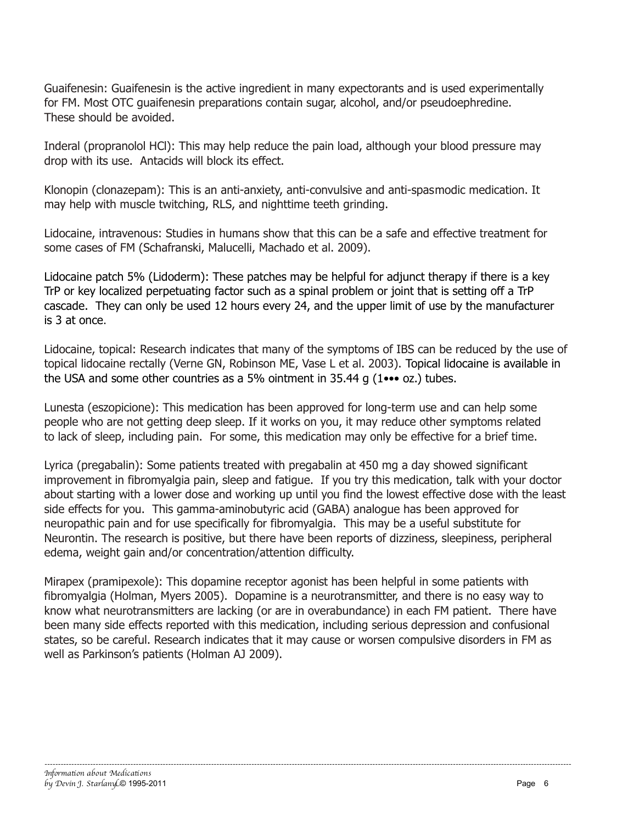Guaifenesin: Guaifenesin is the active ingredient in many expectorants and is used experimentally for FM. Most OTC guaifenesin preparations contain sugar, alcohol, and/or pseudoephredine. These should be avoided.

Inderal (propranolol HCl): This may help reduce the pain load, although your blood pressure may drop with its use. Antacids will block its effect.

Klonopin (clonazepam): This is an anti-anxiety, anti-convulsive and anti-spasmodic medication. It may help with muscle twitching, RLS, and nighttime teeth grinding.

Lidocaine, intravenous: Studies in humans show that this can be a safe and effective treatment for some cases of FM (Schafranski, Malucelli, Machado et al. 2009).

Lidocaine patch 5% (Lidoderm): These patches may be helpful for adjunct therapy if there is a key TrP or key localized perpetuating factor such as a spinal problem or joint that is setting off a TrP cascade. They can only be used 12 hours every 24, and the upper limit of use by the manufacturer is 3 at once.

Lidocaine, topical: Research indicates that many of the symptoms of IBS can be reduced by the use of topical lidocaine rectally (Verne GN, Robinson ME, Vase L et al. 2003). Topical lidocaine is available in the USA and some other countries as a 5% ointment in 35.44 g (1••• oz.) tubes.

Lunesta (eszopicione): This medication has been approved for long-term use and can help some people who are not getting deep sleep. If it works on you, it may reduce other symptoms related to lack of sleep, including pain. For some, this medication may only be effective for a brief time.

Lyrica (pregabalin): Some patients treated with pregabalin at 450 mg a day showed significant improvement in fibromyalgia pain, sleep and fatigue. If you try this medication, talk with your doctor about starting with a lower dose and working up until you find the lowest effective dose with the least side effects for you. This gamma-aminobutyric acid (GABA) analogue has been approved for neuropathic pain and for use specifically for fibromyalgia. This may be a useful substitute for Neurontin. The research is positive, but there have been reports of dizziness, sleepiness, peripheral edema, weight gain and/or concentration/attention difficulty.

Mirapex (pramipexole): This dopamine receptor agonist has been helpful in some patients with fibromyalgia (Holman, Myers 2005). Dopamine is a neurotransmitter, and there is no easy way to know what neurotransmitters are lacking (or are in overabundance) in each FM patient. There have been many side effects reported with this medication, including serious depression and confusional states, so be careful. Research indicates that it may cause or worsen compulsive disorders in FM as well as Parkinson's patients (Holman AJ 2009).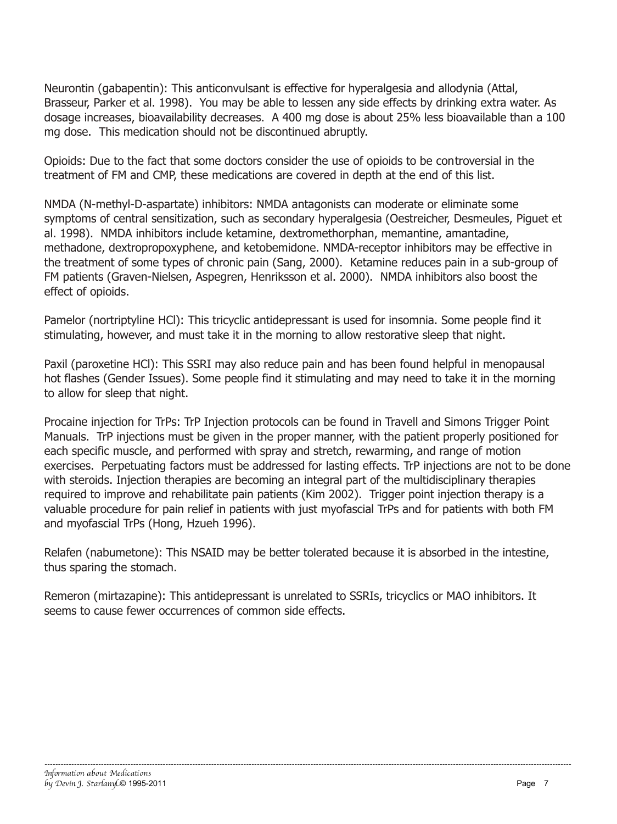Neurontin (gabapentin): This anticonvulsant is effective for hyperalgesia and allodynia (Attal, Brasseur, Parker et al. 1998). You may be able to lessen any side effects by drinking extra water. As dosage increases, bioavailability decreases. A 400 mg dose is about 25% less bioavailable than a 100 mg dose. This medication should not be discontinued abruptly.

Opioids: Due to the fact that some doctors consider the use of opioids to be controversial in the treatment of FM and CMP, these medications are covered in depth at the end of this list.

NMDA (N-methyl-D-aspartate) inhibitors: NMDA antagonists can moderate or eliminate some symptoms of central sensitization, such as secondary hyperalgesia (Oestreicher, Desmeules, Piguet et al. 1998). NMDA inhibitors include ketamine, dextromethorphan, memantine, amantadine, methadone, dextropropoxyphene, and ketobemidone. NMDA-receptor inhibitors may be effective in the treatment of some types of chronic pain (Sang, 2000). Ketamine reduces pain in a sub-group of FM patients (Graven-Nielsen, Aspegren, Henriksson et al. 2000). NMDA inhibitors also boost the effect of opioids.

Pamelor (nortriptyline HCl): This tricyclic antidepressant is used for insomnia. Some people find it stimulating, however, and must take it in the morning to allow restorative sleep that night.

Paxil (paroxetine HCl): This SSRI may also reduce pain and has been found helpful in menopausal hot flashes (Gender Issues). Some people find it stimulating and may need to take it in the morning to allow for sleep that night.

Procaine injection for TrPs: TrP Injection protocols can be found in Travell and Simons Trigger Point Manuals. TrP injections must be given in the proper manner, with the patient properly positioned for each specific muscle, and performed with spray and stretch, rewarming, and range of motion exercises. Perpetuating factors must be addressed for lasting effects. TrP injections are not to be done with steroids. Injection therapies are becoming an integral part of the multidisciplinary therapies required to improve and rehabilitate pain patients (Kim 2002). Trigger point injection therapy is a valuable procedure for pain relief in patients with just myofascial TrPs and for patients with both FM and myofascial TrPs (Hong, Hzueh 1996).

Relafen (nabumetone): This NSAID may be better tolerated because it is absorbed in the intestine, thus sparing the stomach.

Remeron (mirtazapine): This antidepressant is unrelated to SSRIs, tricyclics or MAO inhibitors. It seems to cause fewer occurrences of common side effects.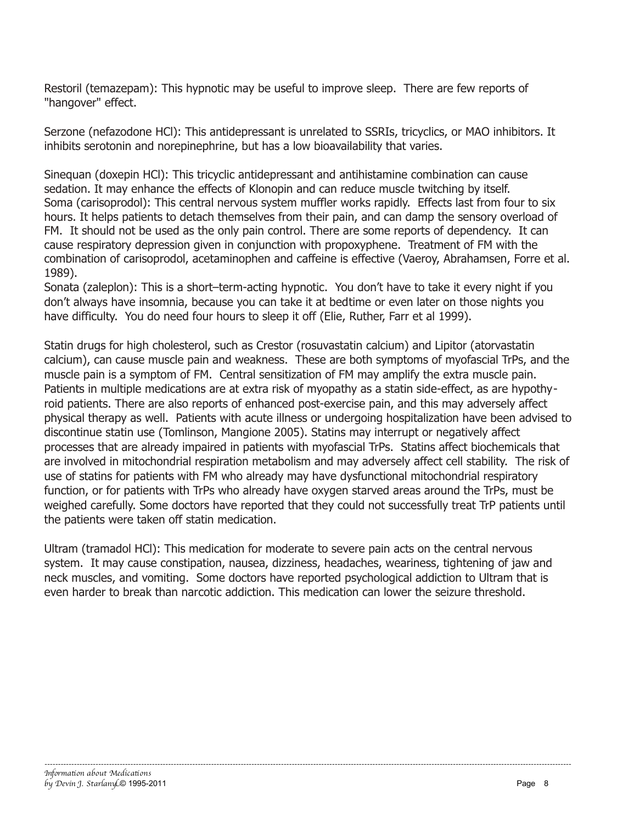Restoril (temazepam): This hypnotic may be useful to improve sleep. There are few reports of "hangover" effect.

Serzone (nefazodone HCl): This antidepressant is unrelated to SSRIs, tricyclics, or MAO inhibitors. It inhibits serotonin and norepinephrine, but has a low bioavailability that varies.

Sinequan (doxepin HCl): This tricyclic antidepressant and antihistamine combination can cause sedation. It may enhance the effects of Klonopin and can reduce muscle twitching by itself. Soma (carisoprodol): This central nervous system muffler works rapidly. Effects last from four to six hours. It helps patients to detach themselves from their pain, and can damp the sensory overload of FM. It should not be used as the only pain control. There are some reports of dependency. It can cause respiratory depression given in conjunction with propoxyphene. Treatment of FM with the combination of carisoprodol, acetaminophen and caffeine is effective (Vaeroy, Abrahamsen, Forre et al. 1989).

Sonata (zaleplon): This is a short–term-acting hypnotic. You don't have to take it every night if you don't always have insomnia, because you can take it at bedtime or even later on those nights you have difficulty. You do need four hours to sleep it off (Elie, Ruther, Farr et al 1999).

Statin drugs for high cholesterol, such as Crestor (rosuvastatin calcium) and Lipitor (atorvastatin calcium), can cause muscle pain and weakness. These are both symptoms of myofascial TrPs, and the muscle pain is a symptom of FM. Central sensitization of FM may amplify the extra muscle pain. Patients in multiple medications are at extra risk of myopathy as a statin side-effect, as are hypothyroid patients. There are also reports of enhanced post-exercise pain, and this may adversely affect physical therapy as well. Patients with acute illness or undergoing hospitalization have been advised to discontinue statin use (Tomlinson, Mangione 2005). Statins may interrupt or negatively affect processes that are already impaired in patients with myofascial TrPs. Statins affect biochemicals that are involved in mitochondrial respiration metabolism and may adversely affect cell stability. The risk of use of statins for patients with FM who already may have dysfunctional mitochondrial respiratory function, or for patients with TrPs who already have oxygen starved areas around the TrPs, must be weighed carefully. Some doctors have reported that they could not successfully treat TrP patients until the patients were taken off statin medication.

Ultram (tramadol HCl): This medication for moderate to severe pain acts on the central nervous system. It may cause constipation, nausea, dizziness, headaches, weariness, tightening of jaw and neck muscles, and vomiting. Some doctors have reported psychological addiction to Ultram that is even harder to break than narcotic addiction. This medication can lower the seizure threshold.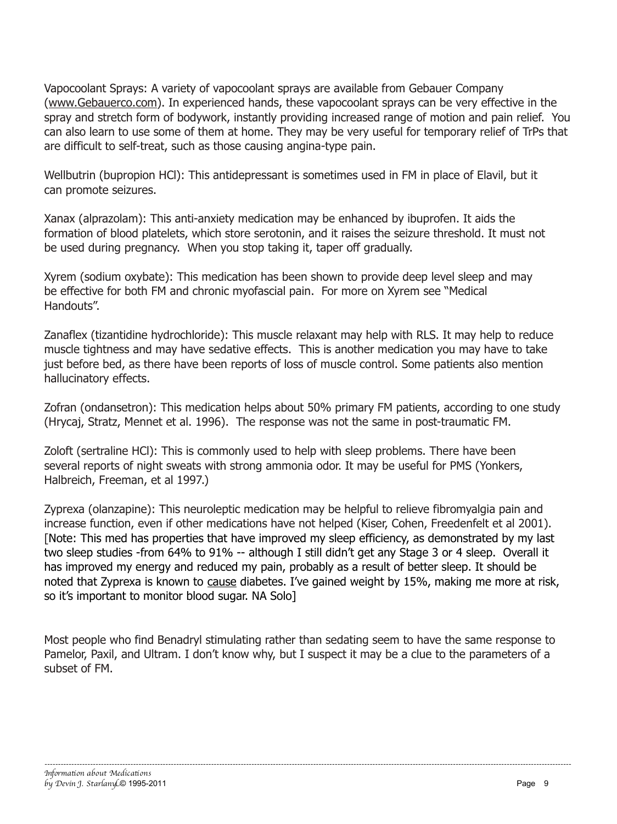Vapocoolant Sprays: A variety of vapocoolant sprays are available from Gebauer Company (www.Gebauerco.com). In experienced hands, these vapocoolant sprays can be very effective in the spray and stretch form of bodywork, instantly providing increased range of motion and pain relief. You can also learn to use some of them at home. They may be very useful for temporary relief of TrPs that are difficult to self-treat, such as those causing angina-type pain.

Wellbutrin (bupropion HCl): This antidepressant is sometimes used in FM in place of Elavil, but it can promote seizures.

Xanax (alprazolam): This anti-anxiety medication may be enhanced by ibuprofen. It aids the formation of blood platelets, which store serotonin, and it raises the seizure threshold. It must not be used during pregnancy. When you stop taking it, taper off gradually.

Xyrem (sodium oxybate): This medication has been shown to provide deep level sleep and may be effective for both FM and chronic myofascial pain. For more on Xyrem see "Medical Handouts".

Zanaflex (tizantidine hydrochloride): This muscle relaxant may help with RLS. It may help to reduce muscle tightness and may have sedative effects. This is another medication you may have to take just before bed, as there have been reports of loss of muscle control. Some patients also mention hallucinatory effects.

Zofran (ondansetron): This medication helps about 50% primary FM patients, according to one study (Hrycaj, Stratz, Mennet et al. 1996). The response was not the same in post-traumatic FM.

Zoloft (sertraline HCl): This is commonly used to help with sleep problems. There have been several reports of night sweats with strong ammonia odor. It may be useful for PMS (Yonkers, Halbreich, Freeman, et al 1997.)

Zyprexa (olanzapine): This neuroleptic medication may be helpful to relieve fibromyalgia pain and increase function, even if other medications have not helped (Kiser, Cohen, Freedenfelt et al 2001). [Note: This med has properties that have improved my sleep efficiency, as demonstrated by my last two sleep studies -from 64% to 91% -- although I still didn't get any Stage 3 or 4 sleep. Overall it has improved my energy and reduced my pain, probably as a result of better sleep. It should be noted that Zyprexa is known to cause diabetes. I've gained weight by 15%, making me more at risk, so it's important to monitor blood sugar. NA Solo]

Most people who find Benadryl stimulating rather than sedating seem to have the same response to Pamelor, Paxil, and Ultram. I don't know why, but I suspect it may be a clue to the parameters of a subset of FM.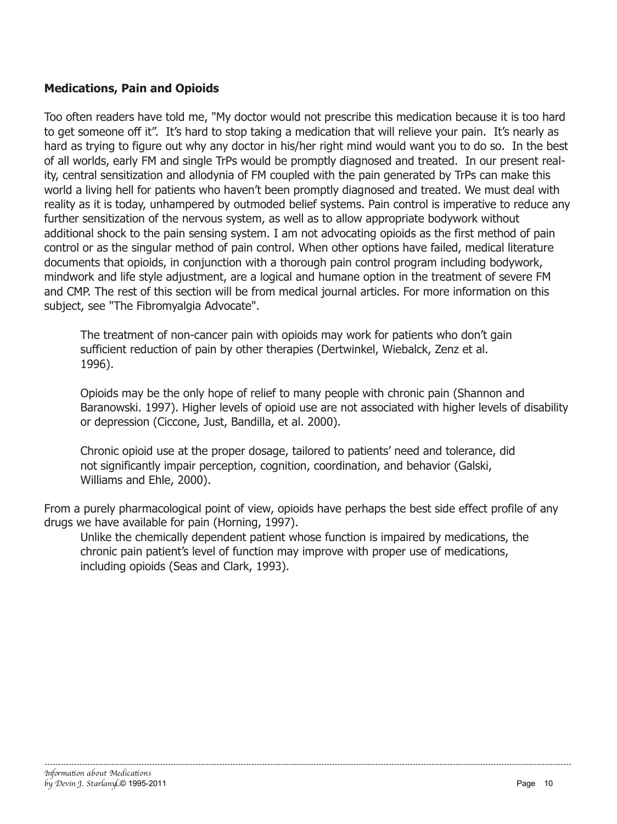## **Medications, Pain and Opioids**

Too often readers have told me, "My doctor would not prescribe this medication because it is too hard to get someone off it". It's hard to stop taking a medication that will relieve your pain. It's nearly as hard as trying to figure out why any doctor in his/her right mind would want you to do so. In the best of all worlds, early FM and single TrPs would be promptly diagnosed and treated. In our present reality, central sensitization and allodynia of FM coupled with the pain generated by TrPs can make this world a living hell for patients who haven't been promptly diagnosed and treated. We must deal with reality as it is today, unhampered by outmoded belief systems. Pain control is imperative to reduce any further sensitization of the nervous system, as well as to allow appropriate bodywork without additional shock to the pain sensing system. I am not advocating opioids as the first method of pain control or as the singular method of pain control. When other options have failed, medical literature documents that opioids, in conjunction with a thorough pain control program including bodywork, mindwork and life style adjustment, are a logical and humane option in the treatment of severe FM and CMP. The rest of this section will be from medical journal articles. For more information on this subject, see "The Fibromyalgia Advocate".

The treatment of non-cancer pain with opioids may work for patients who don't gain sufficient reduction of pain by other therapies (Dertwinkel, Wiebalck, Zenz et al. 1996).

Opioids may be the only hope of relief to many people with chronic pain (Shannon and Baranowski. 1997). Higher levels of opioid use are not associated with higher levels of disability or depression (Ciccone, Just, Bandilla, et al. 2000).

Chronic opioid use at the proper dosage, tailored to patients' need and tolerance, did not significantly impair perception, cognition, coordination, and behavior (Galski, Williams and Ehle, 2000).

From a purely pharmacological point of view, opioids have perhaps the best side effect profile of any drugs we have available for pain (Horning, 1997).

Unlike the chemically dependent patient whose function is impaired by medications, the chronic pain patient's level of function may improve with proper use of medications, including opioids (Seas and Clark, 1993).